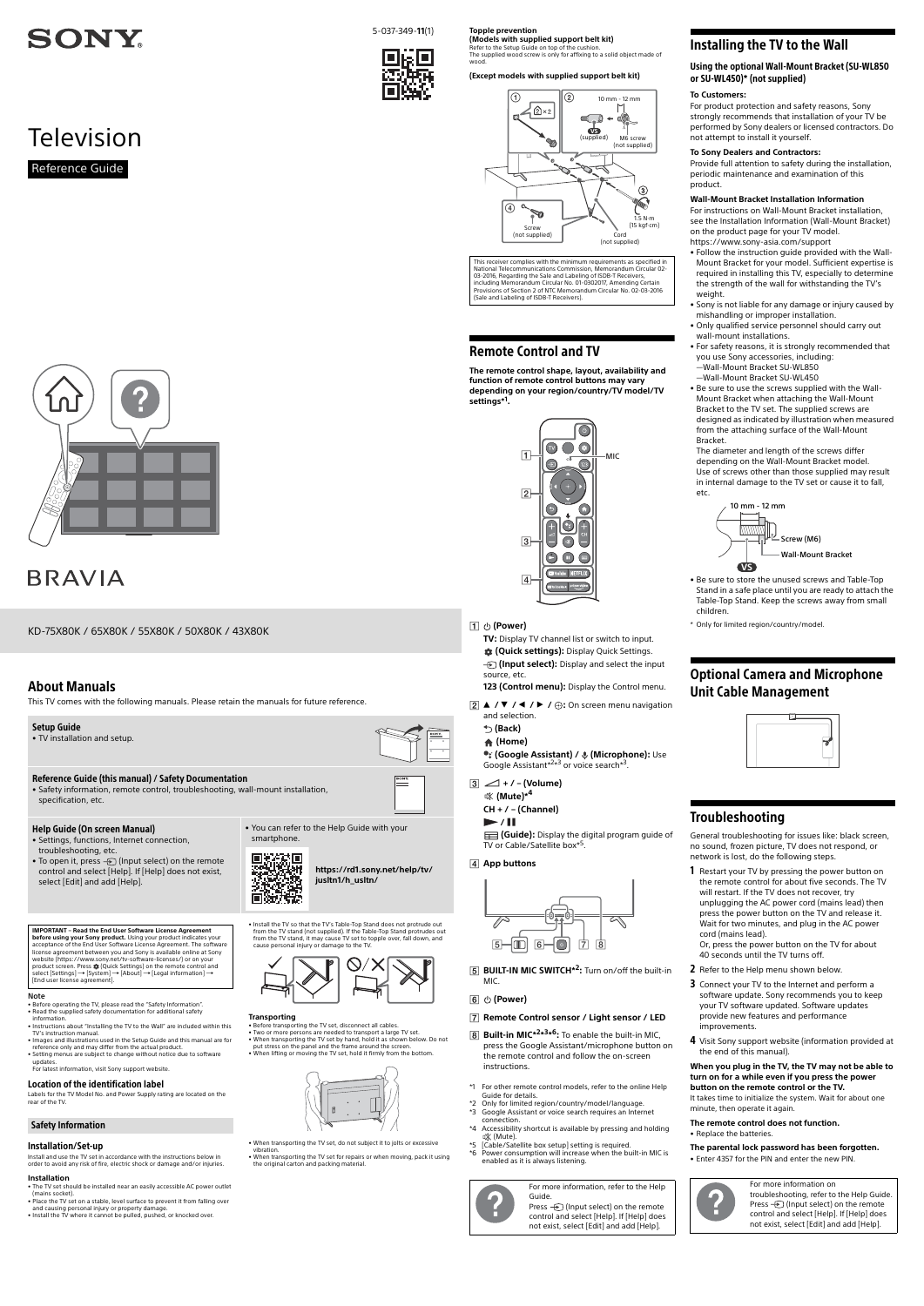# About Manuals

This TV comes with the following manuals. Please retain the manuals for future reference.

### Note

Labels for the TV Model No. and Power Supply rating are located on the rear of the TV

- Before operating the TV, please read the ["Safety Information](#page-0-0)". • Read the supplied safety documentation for additional safety information.
- Instructions about ["Installing the TV to the Wall"](#page-0-1) are included within this TV's instruction manual.
- Images and illustrations used in the Setup Guide and this manual are for reference only and may differ from the actual product. • Setting menus are subject to change without notice due to software
- updates. For latest information, visit Sony support website.
- 

# Location of the identification label

## Installation/Set-up

Install and use the TV set in accordance with the instructions below in order to avoid any risk of fire, electric shock or damage and/or injuries.

• transporting the TV set, disconnect all cables • Two or more persons are needed to transport a large TV set. • When transporting the TV set by hand, hold it as shown below. Do not put stress on the panel and the frame around the screen. • When lifting or moving the TV set, hold it firmly from the bottom.



### **Installation**

- The TV set should be installed near an easily accessible AC power outlet
- (mains socket). Place the TV set on a stable, level surface to prevent it from falling over and causing personal injury or property damage.
- Install the TV where it cannot be pulled, pushed, or knocked over.

• To open it, press  $\bigoplus$  (Input select) on the remote control and select [Help]. If [Help] does not exist, select [Edit] and add [Help].

**[https://rd1.sony.net/help/tv/](https://rd1.sony.net/help/tv/jusltn1/h_usltn/) jusltn1/h\_usltn/** 回路获奖

**IMPORTANT – Read the End User Software License Agreement before using your Sony product.** Using your product indicates your acceptance of the End User Software License Agreement. The software license agreement between you and Sony is available online at Sony website (https://www.sony.net/tv-software-licenses/) or on your product screen. Press な (Quick Settings) on the remote control and<br>select [Settings] → [System] → [About] → [Legal information] →<br>[End user license agreement].



• Install the TV so that the TV's Table-Top Stand does not protrude out from the TV stand (not supplied). If the Table-Top Stand protrudes out from the TV stand, it may cause TV set to topple over, fall down, and cause personal injury or damage to the TV.



### **Transporting**

**TV:** Display TV channel list or switch to input.  **(Quick settings):** Display Quick Settings. *{* (Input select): Display and select the input

- When transporting the TV set, do not subject it to jolts or excessive vibration.
- When transporting the TV set for repairs or when moving, pack it using the original carton and packing material.

# **6** ① (Power)

**(Guide):** Display the digital program guide of TV or Cable/Satellite box\*5.



- **B** Built-in MIC<sup>\*2\*3\*6</sup>: To enable the built-in MIC, press the Google Assistant/microphone button on the remote control and follow the on-screen instructions.
- \*1 For other remote control models, refer to the online Help Guide for details.
- \*2 Only for limited region/country/model/language.
- Sony for immediate grow country model hanguage. connection.
- \*4 Accessibility shortcut is available by pressing and holding (Mute).
- \*5 [Cable/Satellite box setup] setting is required.
- \*6 Power consumption will increase when the built-in MIC is enabled as it is always listening.

# <span id="page-0-0"></span>Safety Information

**Topple prevention (Models with supplied support belt kit)**

Refer to the Setup Guide on top of the cushion. The supplied wood screw is only for affixing to a solid object made of

wood.

# **(Except models with supplied support belt kit)**

# Remote Control and TV

**The remote control shape, layout, availability and function of remote control buttons may vary depending on your region/country/TV model/TV settings\*1 .**

 **(Power)**

source, etc.

**123 (Control menu):** Display the Control menu.

- 1 Restart your TV by pressing the power button on the remote control for about five seconds. The TV will restart. If the TV does not recover, try unplugging the AC power cord (mains lead) then press the power button on the TV and release it. Wait for two minutes, and plug in the AC power cord (mains lead).
- Or, press the power button on the TV for about 40 seconds until the TV turns off.
- 2 Refer to the Help menu shown below.
- 3 Connect your TV to the Internet and perform a

 $\boxed{2}$  **A**  $\sqrt{ }$   $\sqrt{ }$   $\sqrt{ }$   $\sqrt{ }$   $\sqrt{ }$   $\sqrt{ }$   $\sqrt{ }$   $\sqrt{ }$   $\sqrt{ }$   $\sqrt{ }$   $\sqrt{ }$   $\sqrt{ }$   $\sqrt{ }$   $\sqrt{ }$   $\sqrt{ }$   $\sqrt{ }$   $\sqrt{ }$   $\sqrt{ }$   $\sqrt{ }$   $\sqrt{ }$   $\sqrt{ }$   $\sqrt{ }$   $\sqrt{ }$   $\sqrt{ }$   $\sqrt{ }$   $\sqrt{ }$   $\sqrt{ }$   $\sqrt{ }$   $\sqrt{ }$   $\sqrt{ }$ 



- - and selection.
		-
		-

- **(Back)**
	- **(Home)**

**• (Google Assistant) /**  $\oint$  **(Microphone):** Use

Google Assistant\*2\*3 or voice search\*3.

 **+ / – (Volume)**

- 
- **(Mute)\*4**

**CH + / – (Channel)**

 $\blacktriangleright$  / $\blacksquare$ 

# **App buttons**



- -
	-

# **Remote Control sensor / Light sensor / LED**

Press  $\bigoplus$  (Input select) on the remote control and select [Help]. If [Help] does not exist, select [Edit] and add [Help].



# **Television** Reference Guide



# **BRAVIA**

# <span id="page-0-1"></span>Installing the TV to the Wall

Using the optional Wall-Mount Bracket (SU-WL850 or SU-WL450)\* (not supplied)

# **To Customers:**

For product protection and safety reasons, Sony strongly recommends that installation of your TV be performed by Sony dealers or licensed contractors. Do not attempt to install it yourself.

# **To Sony Dealers and Contractors:**

Provide full attention to safety during the installation, periodic maintenance and examination of this product.

### **Wall-Mount Bracket Installation Information**

For instructions on Wall-Mount Bracket installation, see the Installation Information (Wall-Mount Bracket) on the product page for your TV model. https://www.sony-asia.com/support

- Follow the instruction guide provided with the Wall-Mount Bracket for your model. Sufficient expertise is required in installing this TV, especially to determine the strength of the wall for withstanding the TV's weight.
- Sony is not liable for any damage or injury caused by mishandling or improper installation.
- Only qualified service personnel should carry out wall-mount installations.
- For safety reasons, it is strongly recommended that you use Sony accessories, including:
- —Wall-Mount Bracket SU-WL850 —Wall-Mount Bracket SU-WL450
- Be sure to use the screws supplied with the Wall-Mount Bracket when attaching the Wall-Mount Bracket to the TV set. The supplied screws are designed as indicated by illustration when measured from the attaching surface of the Wall-Mount Bracket.

The diameter and length of the screws differ depending on the Wall-Mount Bracket model. Use of screws other than those supplied may result in internal damage to the TV set or cause it to fall, etc.

- Be sure to store the unused screws and Table-Top Stand in a safe place until you are ready to attach the Table-Top Stand. Keep the screws away from small children.
- \* Only for limited region/country/model.

# Optional Camera and Microphone Unit Cable Management



# Troubleshooting

General troubleshooting for issues like: black screen, no sound, frozen picture, TV does not respond, or network is lost, do the following steps.



4 Visit Sony support website (information provided at the end of this manual).

### **When you plug in the TV, the TV may not be able to turn on for a while even if you press the power button on the remote control or the TV.**

It takes time to initialize the system. Wait for about one minute, then operate it again.

### **The remote control does not function.** • Replace the batteries.

**The parental lock password has been forgotten.** • Enter 4357 for the PIN and enter the new PIN.



This receiver complies with the minimum requirements as specified in National Telecommunications Commission, Memorandum Circular 02-<br>03-2016, Regarding the Sale and Labeling of ISDB-T Receivers,<br>including Memorandum Circular No. 01-0302017, Amending Certain Provisions of Section 2 of NTC Memorandum Circular No. 02-03-2016 (Sale and Labeling of ISDB-T Receivers).

> For more information, refer to the Help Guide.







**BUILT-IN MIC SWITCH\*2:** Turn on/off the built-in **MIC** 

> For more information on troubleshooting, refer to the Help Guide. Press  $\bigoplus$  (Input select) on the remote control and select [Help]. If [Help] does not exist, select [Edit] and add [Help].



# **SONY**

5-037-349-**11**(1)



KD-75X80K / 65X80K / 55X80K / 50X80K / 43X80K